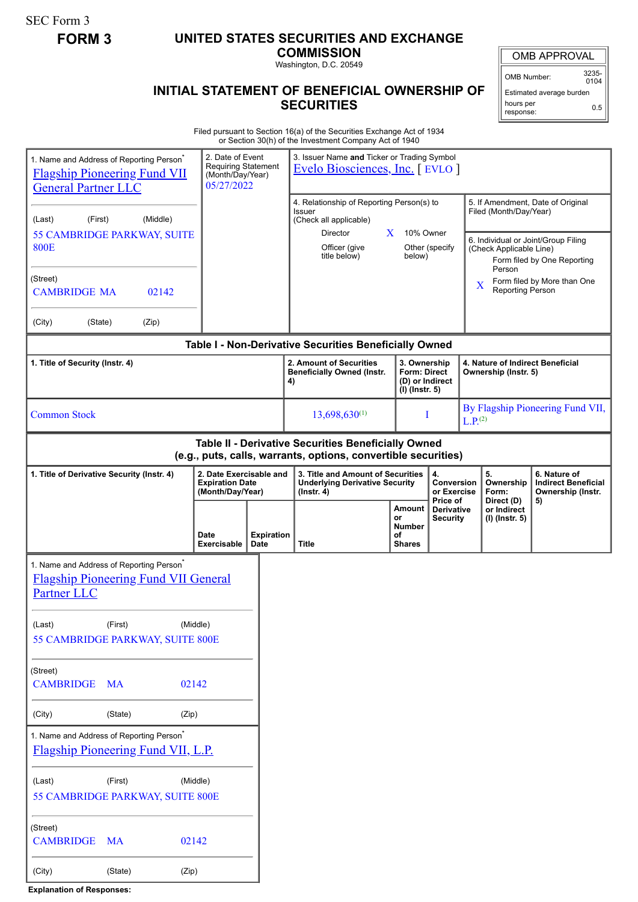SEC Form 3

## **FORM 3 UNITED STATES SECURITIES AND EXCHANGE**

**COMMISSION** Washington, D.C. 20549

## **INITIAL STATEMENT OF BENEFICIAL OWNERSHIP OF SECURITIES**

OMB APPROVAL

OMB Number: 3235-  $0104$ 

Estimated average burden hours per response: 0.5

Filed pursuant to Section 16(a) of the Securities Exchange Act of 1934 or Section 30(h) of the Investment Company Act of 1940

| 1. Name and Address of Reporting Person <sup>®</sup><br><b>Flagship Pioneering Fund VII</b><br><b>General Partner LLC</b>                                                | 2. Date of Event<br><b>Requiring Statement</b><br>(Month/Day/Year)<br>05/27/2022 |                           | 3. Issuer Name and Ticker or Trading Symbol<br>Evelo Biosciences, Inc. [ EVLO ]                                            |                                                            |                                           |                      |                                                             |                                                                                                         |
|--------------------------------------------------------------------------------------------------------------------------------------------------------------------------|----------------------------------------------------------------------------------|---------------------------|----------------------------------------------------------------------------------------------------------------------------|------------------------------------------------------------|-------------------------------------------|----------------------|-------------------------------------------------------------|---------------------------------------------------------------------------------------------------------|
| (Middle)<br>(First)<br>(Last)<br>55 CAMBRIDGE PARKWAY, SUITE<br><b>800E</b>                                                                                              |                                                                                  |                           | 4. Relationship of Reporting Person(s) to<br>Issuer<br>(Check all applicable)<br>Director<br>Officer (give<br>title below) | 10% Owner<br>$\mathbf{X}$<br>below)                        | Other (specify                            |                      | Filed (Month/Day/Year)<br>(Check Applicable Line)<br>Person | 5. If Amendment, Date of Original<br>6. Individual or Joint/Group Filing<br>Form filed by One Reporting |
| (Street)<br><b>CAMBRIDGE MA</b><br>02142                                                                                                                                 |                                                                                  |                           |                                                                                                                            |                                                            |                                           | X                    | <b>Reporting Person</b>                                     | Form filed by More than One                                                                             |
| (City)<br>(State)<br>(Zip)                                                                                                                                               |                                                                                  |                           |                                                                                                                            |                                                            |                                           |                      |                                                             |                                                                                                         |
| Table I - Non-Derivative Securities Beneficially Owned<br>2. Amount of Securities<br>3. Ownership<br>1. Title of Security (Instr. 4)<br>4. Nature of Indirect Beneficial |                                                                                  |                           |                                                                                                                            |                                                            |                                           |                      |                                                             |                                                                                                         |
|                                                                                                                                                                          |                                                                                  |                           | <b>Beneficially Owned (Instr.</b><br>4)                                                                                    | <b>Form: Direct</b><br>(D) or Indirect<br>$(I)$ (lnstr. 5) |                                           | Ownership (Instr. 5) |                                                             |                                                                                                         |
| <b>Common Stock</b>                                                                                                                                                      |                                                                                  |                           | $13,698,630^{(1)}$                                                                                                         |                                                            |                                           |                      | By Flagship Pioneering Fund VII,<br>L.P <sub>.</sub> (2)    |                                                                                                         |
| Table II - Derivative Securities Beneficially Owned<br>(e.g., puts, calls, warrants, options, convertible securities)                                                    |                                                                                  |                           |                                                                                                                            |                                                            |                                           |                      |                                                             |                                                                                                         |
| 1. Title of Derivative Security (Instr. 4)<br>2. Date Exercisable and<br><b>Expiration Date</b><br>(Month/Day/Year)                                                      |                                                                                  |                           | 3. Title and Amount of Securities<br><b>Underlying Derivative Security</b><br>$($ lnstr. 4 $)$                             |                                                            | 4.<br>Conversion<br>or Exercise           |                      | 5.<br>Ownership<br>Form:                                    | 6. Nature of<br><b>Indirect Beneficial</b><br>Ownership (Instr.                                         |
|                                                                                                                                                                          | <b>Date</b><br>Exercisable                                                       | <b>Expiration</b><br>Date | Title                                                                                                                      | Amount<br>or<br><b>Number</b><br>οf<br><b>Shares</b>       | Price of<br>Derivative<br><b>Security</b> |                      | Direct (D)<br>or Indirect<br>(I) (Instr. 5)                 | 5)                                                                                                      |
| 1. Name and Address of Reporting Person <sup>*</sup><br><b>Flagship Pioneering Fund VII General</b><br>Partner LLC                                                       |                                                                                  |                           |                                                                                                                            |                                                            |                                           |                      |                                                             |                                                                                                         |
| (Last)<br>(First)<br>(Middle)<br>55 CAMBRIDGE PARKWAY, SUITE 800E                                                                                                        |                                                                                  |                           |                                                                                                                            |                                                            |                                           |                      |                                                             |                                                                                                         |
|                                                                                                                                                                          |                                                                                  |                           |                                                                                                                            |                                                            |                                           |                      |                                                             |                                                                                                         |
| (Street)<br><b>CAMBRIDGE MA</b>                                                                                                                                          | 02142                                                                            |                           |                                                                                                                            |                                                            |                                           |                      |                                                             |                                                                                                         |
| (City)<br>(State)<br>(Zip)                                                                                                                                               |                                                                                  |                           |                                                                                                                            |                                                            |                                           |                      |                                                             |                                                                                                         |
| 1. Name and Address of Reporting Person <sup>*</sup><br><b>Flagship Pioneering Fund VII, L.P.</b>                                                                        |                                                                                  |                           |                                                                                                                            |                                                            |                                           |                      |                                                             |                                                                                                         |
| (First)<br>(Last)<br>(Middle)<br>55 CAMBRIDGE PARKWAY, SUITE 800E                                                                                                        |                                                                                  |                           |                                                                                                                            |                                                            |                                           |                      |                                                             |                                                                                                         |
| (Street)<br><b>CAMBRIDGE</b><br><b>MA</b><br>02142                                                                                                                       |                                                                                  |                           |                                                                                                                            |                                                            |                                           |                      |                                                             |                                                                                                         |
| (City)<br>(State)<br>(Zip)                                                                                                                                               |                                                                                  |                           |                                                                                                                            |                                                            |                                           |                      |                                                             |                                                                                                         |

**Explanation of Responses:**